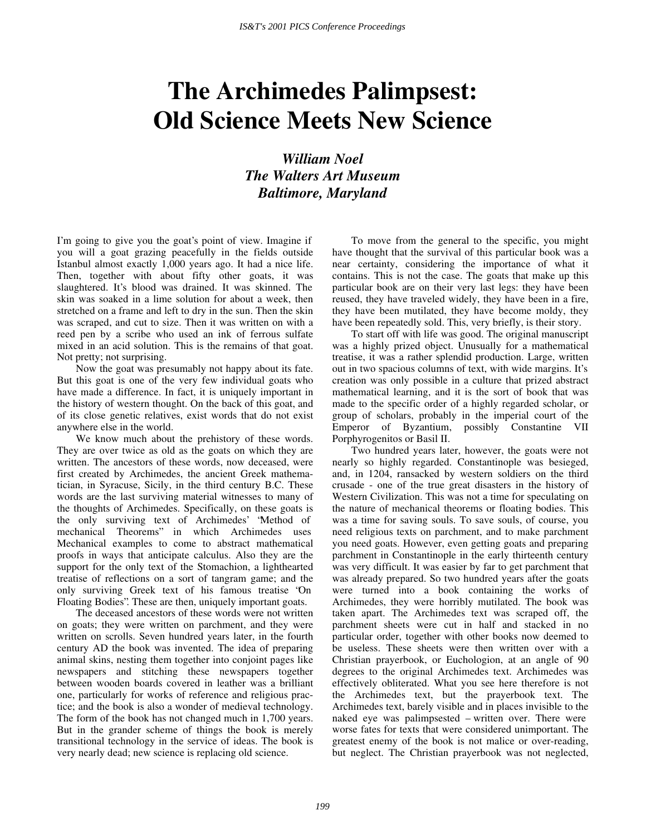## **The Archimedes Palimpsest: Old Science Meets New Science**

*William Noel The Walters Art Museum Baltimore, Maryland* 

I'm going to give you the goat's point of view. Imagine if you will a goat grazing peacefully in the fields outside Istanbul almost exactly 1,000 years ago. It had a nice life. Then, together with about fifty other goats, it was slaughtered. It's blood was drained. It was skinned. The skin was soaked in a lime solution for about a week, then stretched on a frame and left to dry in the sun. Then the skin was scraped, and cut to size. Then it was written on with a reed pen by a scribe who used an ink of ferrous sulfate mixed in an acid solution. This is the remains of that goat. Not pretty; not surprising.

Now the goat was presumably not happy about its fate. But this goat is one of the very few individual goats who have made a difference. In fact, it is uniquely important in the history of western thought. On the back of this goat, and of its close genetic relatives, exist words that do not exist anywhere else in the world.

We know much about the prehistory of these words. They are over twice as old as the goats on which they are written. The ancestors of these words, now deceased, were first created by Archimedes, the ancient Greek mathematician, in Syracuse, Sicily, in the third century B.C. These words are the last surviving material witnesses to many of the thoughts of Archimedes. Specifically, on these goats is the only surviving text of Archimedes' "Method of mechanical Theorems" in which Archimedes uses Mechanical examples to come to abstract mathematical proofs in ways that anticipate calculus. Also they are the support for the only text of the Stomachion, a lighthearted treatise of reflections on a sort of tangram game; and the only surviving Greek text of his famous treatise "On Floating Bodies". These are then, uniquely important goats.

The deceased ancestors of these words were not written on goats; they were written on parchment, and they were written on scrolls. Seven hundred years later, in the fourth century AD the book was invented. The idea of preparing animal skins, nesting them together into conjoint pages like newspapers and stitching these newspapers together between wooden boards covered in leather was a brilliant one, particularly for works of reference and religious practice; and the book is also a wonder of medieval technology. The form of the book has not changed much in 1,700 years. But in the grander scheme of things the book is merely transitional technology in the service of ideas. The book is very nearly dead; new science is replacing old science.

To move from the general to the specific, you might have thought that the survival of this particular book was a near certainty, considering the importance of what it contains. This is not the case. The goats that make up this particular book are on their very last legs: they have been reused, they have traveled widely, they have been in a fire, they have been mutilated, they have become moldy, they have been repeatedly sold. This, very briefly, is their story.

To start off with life was good. The original manuscript was a highly prized object. Unusually for a mathematical treatise, it was a rather splendid production. Large, written out in two spacious columns of text, with wide margins. It's creation was only possible in a culture that prized abstract mathematical learning, and it is the sort of book that was made to the specific order of a highly regarded scholar, or group of scholars, probably in the imperial court of the Emperor of Byzantium, possibly Constantine VII Porphyrogenitos or Basil II.

Two hundred years later, however, the goats were not nearly so highly regarded. Constantinople was besieged, and, in 1204, ransacked by western soldiers on the third crusade - one of the true great disasters in the history of Western Civilization. This was not a time for speculating on the nature of mechanical theorems or floating bodies. This was a time for saving souls. To save souls, of course, you need religious texts on parchment, and to make parchment you need goats. However, even getting goats and preparing parchment in Constantinople in the early thirteenth century was very difficult. It was easier by far to get parchment that was already prepared. So two hundred years after the goats were turned into a book containing the works of Archimedes, they were horribly mutilated. The book was taken apart. The Archimedes text was scraped off, the parchment sheets were cut in half and stacked in no particular order, together with other books now deemed to be useless. These sheets were then written over with a Christian prayerbook, or Euchologion, at an angle of 90 degrees to the original Archimedes text. Archimedes was effectively obliterated. What you see here therefore is not the Archimedes text, but the prayerbook text. The Archimedes text, barely visible and in places invisible to the naked eye was palimpsested – written over. There were worse fates for texts that were considered unimportant. The greatest enemy of the book is not malice or over-reading, but neglect. The Christian prayerbook was not neglected,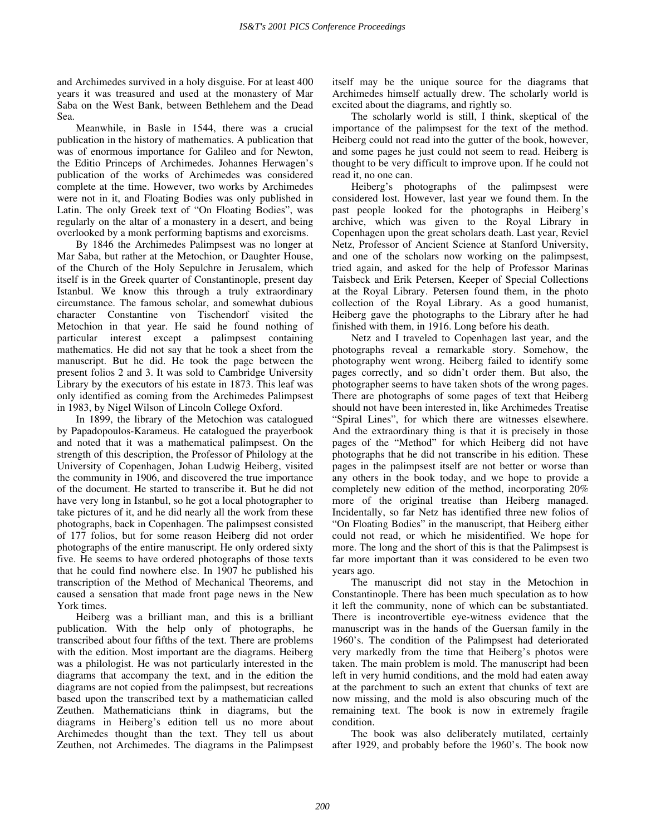and Archimedes survived in a holy disguise. For at least 400 years it was treasured and used at the monastery of Mar Saba on the West Bank, between Bethlehem and the Dead Sea.

Meanwhile, in Basle in 1544, there was a crucial publication in the history of mathematics. A publication that was of enormous importance for Galileo and for Newton, the Editio Princeps of Archimedes. Johannes Herwagen's publication of the works of Archimedes was considered complete at the time. However, two works by Archimedes were not in it, and Floating Bodies was only published in Latin. The only Greek text of "On Floating Bodies", was regularly on the altar of a monastery in a desert, and being overlooked by a monk performing baptisms and exorcisms.

By 1846 the Archimedes Palimpsest was no longer at Mar Saba, but rather at the Metochion, or Daughter House, of the Church of the Holy Sepulchre in Jerusalem, which itself is in the Greek quarter of Constantinople, present day Istanbul. We know this through a truly extraordinary circumstance. The famous scholar, and somewhat dubious character Constantine von Tischendorf visited the Metochion in that year. He said he found nothing of particular interest except a palimpsest containing mathematics. He did not say that he took a sheet from the manuscript. But he did. He took the page between the present folios 2 and 3. It was sold to Cambridge University Library by the executors of his estate in 1873. This leaf was only identified as coming from the Archimedes Palimpsest in 1983, by Nigel Wilson of Lincoln College Oxford.

In 1899, the library of the Metochion was catalogued by Papadopoulos-Karameus. He catalogued the prayerbook and noted that it was a mathematical palimpsest. On the strength of this description, the Professor of Philology at the University of Copenhagen, Johan Ludwig Heiberg, visited the community in 1906, and discovered the true importance of the document. He started to transcribe it. But he did not have very long in Istanbul, so he got a local photographer to take pictures of it, and he did nearly all the work from these photographs, back in Copenhagen. The palimpsest consisted of 177 folios, but for some reason Heiberg did not order photographs of the entire manuscript. He only ordered sixty five. He seems to have ordered photographs of those texts that he could find nowhere else. In 1907 he published his transcription of the Method of Mechanical Theorems, and caused a sensation that made front page news in the New York times.

Heiberg was a brilliant man, and this is a brilliant publication. With the help only of photographs, he transcribed about four fifths of the text. There are problems with the edition. Most important are the diagrams. Heiberg was a philologist. He was not particularly interested in the diagrams that accompany the text, and in the edition the diagrams are not copied from the palimpsest, but recreations based upon the transcribed text by a mathematician called Zeuthen. Mathematicians think in diagrams, but the diagrams in Heiberg's edition tell us no more about Archimedes thought than the text. They tell us about Zeuthen, not Archimedes. The diagrams in the Palimpsest

itself may be the unique source for the diagrams that Archimedes himself actually drew. The scholarly world is excited about the diagrams, and rightly so.

The scholarly world is still, I think, skeptical of the importance of the palimpsest for the text of the method. Heiberg could not read into the gutter of the book, however, and some pages he just could not seem to read. Heiberg is thought to be very difficult to improve upon. If he could not read it, no one can.

Heiberg's photographs of the palimpsest were considered lost. However, last year we found them. In the past people looked for the photographs in Heiberg's archive, which was given to the Royal Library in Copenhagen upon the great scholars death. Last year, Reviel Netz, Professor of Ancient Science at Stanford University, and one of the scholars now working on the palimpsest, tried again, and asked for the help of Professor Marinas Taisbeck and Erik Petersen, Keeper of Special Collections at the Royal Library. Petersen found them, in the photo collection of the Royal Library. As a good humanist, Heiberg gave the photographs to the Library after he had finished with them, in 1916. Long before his death.

Netz and I traveled to Copenhagen last year, and the photographs reveal a remarkable story. Somehow, the photography went wrong. Heiberg failed to identify some pages correctly, and so didn't order them. But also, the photographer seems to have taken shots of the wrong pages. There are photographs of some pages of text that Heiberg should not have been interested in, like Archimedes Treatise "Spiral Lines", for which there are witnesses elsewhere. And the extraordinary thing is that it is precisely in those pages of the "Method" for which Heiberg did not have photographs that he did not transcribe in his edition. These pages in the palimpsest itself are not better or worse than any others in the book today, and we hope to provide a completely new edition of the method, incorporating 20% more of the original treatise than Heiberg managed. Incidentally, so far Netz has identified three new folios of " On Floating Bodies" in the manuscript, that Heiberg either could not read, or which he misidentified. We hope for more. The long and the short of this is that the Palimpsest is far more important than it was considered to be even two years ago.

The manuscript did not stay in the Metochion in Constantinople. There has been much speculation as to how it left the community, none of which can be substantiated. There is incontrovertible eye-witness evidence that the manuscript was in the hands of the Guersan family in the 1960's. The condition of the Palimpsest had deteriorated very markedly from the time that Heiberg's photos were taken. The main problem is mold. The manuscript had been left in very humid conditions, and the mold had eaten away at the parchment to such an extent that chunks of text are now missing, and the mold is also obscuring much of the remaining text. The book is now in extremely fragile condition.

The book was also deliberately mutilated, certainly after 1929, and probably before the 1960's. The book now